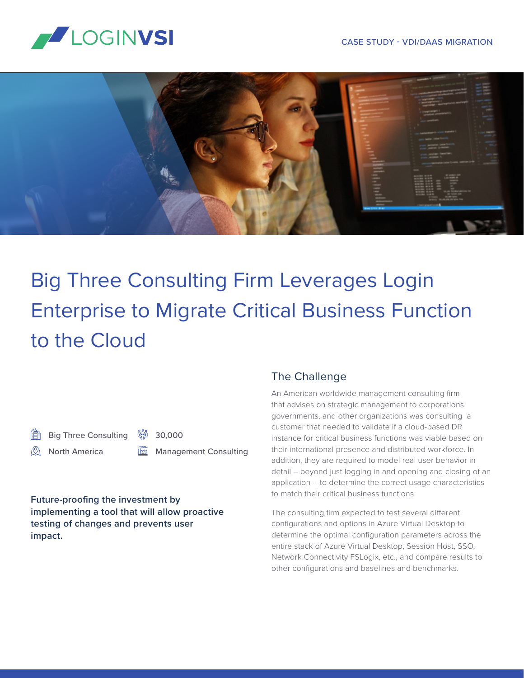



# Big Three Consulting Firm Leverages Login Enterprise to Migrate Critical Business Function to the Cloud

Big Three Consulting North America

30,000

Management Consulting

**Future-proofing the investment by implementing a tool that will allow proactive testing of changes and prevents user impact.**

#### The Challenge

An American worldwide management consulting firm that advises on strategic management to corporations, governments, and other organizations was consulting a customer that needed to validate if a cloud-based DR instance for critical business functions was viable based on their international presence and distributed workforce. In addition, they are required to model real user behavior in detail – beyond just logging in and opening and closing of an application – to determine the correct usage characteristics to match their critical business functions.

The consulting firm expected to test several different configurations and options in Azure Virtual Desktop to determine the optimal configuration parameters across the entire stack of Azure Virtual Desktop, Session Host, SSO, Network Connectivity FSLogix, etc., and compare results to other configurations and baselines and benchmarks.